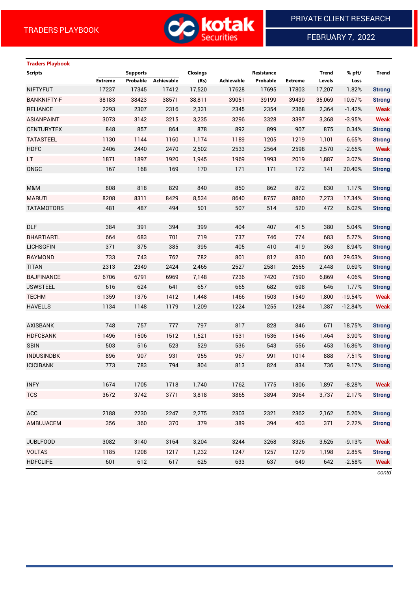

FEBRUARY 7, 2022

# **Traders Playbook**

| <b>Scripts</b>     |                | <b>Supports</b> |                   | <b>Closings</b> |            | Resistance |                | <b>Trend</b> | % pft/    | Trend         |
|--------------------|----------------|-----------------|-------------------|-----------------|------------|------------|----------------|--------------|-----------|---------------|
|                    | <b>Extreme</b> | Probable        | <b>Achievable</b> | (Rs)            | Achievable | Probable   | <b>Extreme</b> | Levels       | Loss      |               |
| <b>NIFTYFUT</b>    | 17237          | 17345           | 17412             | 17,520          | 17628      | 17695      | 17803          | 17,207       | 1.82%     | <b>Strong</b> |
| <b>BANKNIFTY-F</b> | 38183          | 38423           | 38571             | 38,811          | 39051      | 39199      | 39439          | 35,069       | 10.67%    | <b>Strong</b> |
| <b>RELIANCE</b>    | 2293           | 2307            | 2316              | 2,331           | 2345       | 2354       | 2368           | 2,364        | $-1.42%$  | <b>Weak</b>   |
| <b>ASIANPAINT</b>  | 3073           | 3142            | 3215              | 3,235           | 3296       | 3328       | 3397           | 3,368        | $-3.95%$  | <b>Weak</b>   |
| <b>CENTURYTEX</b>  | 848            | 857             | 864               | 878             | 892        | 899        | 907            | 875          | 0.34%     | <b>Strong</b> |
| <b>TATASTEEL</b>   | 1130           | 1144            | 1160              | 1,174           | 1189       | 1205       | 1219           | 1,101        | 6.65%     | <b>Strong</b> |
| <b>HDFC</b>        | 2406           | 2440            | 2470              | 2,502           | 2533       | 2564       | 2598           | 2,570        | $-2.65%$  | <b>Weak</b>   |
| LT.                | 1871           | 1897            | 1920              | 1,945           | 1969       | 1993       | 2019           | 1,887        | 3.07%     | <b>Strong</b> |
| ONGC               | 167            | 168             | 169               | 170             | 171        | 171        | 172            | 141          | 20.40%    | <b>Strong</b> |
|                    |                |                 |                   |                 |            |            |                |              |           |               |
| M&M                | 808            | 818             | 829               | 840             | 850        | 862        | 872            | 830          | 1.17%     | <b>Strong</b> |
| <b>MARUTI</b>      | 8208           | 8311            | 8429              | 8,534           | 8640       | 8757       | 8860           | 7,273        | 17.34%    | <b>Strong</b> |
| <b>TATAMOTORS</b>  | 481            | 487             | 494               | 501             | 507        | 514        | 520            | 472          | 6.02%     | <b>Strong</b> |
|                    |                |                 |                   |                 |            |            |                |              |           |               |
| <b>DLF</b>         | 384            | 391             | 394               | 399             | 404        | 407        | 415            | 380          | 5.04%     | <b>Strong</b> |
| <b>BHARTIARTL</b>  | 664            | 683             | 701               | 719             | 737        | 746        | 774            | 683          | 5.27%     | <b>Strong</b> |
| <b>LICHSGFIN</b>   | 371            | 375             | 385               | 395             | 405        | 410        | 419            | 363          | 8.94%     | <b>Strong</b> |
| RAYMOND            | 733            | 743             | 762               | 782             | 801        | 812        | 830            | 603          | 29.63%    | <b>Strong</b> |
| <b>TITAN</b>       | 2313           | 2349            | 2424              | 2,465           | 2527       | 2581       | 2655           | 2,448        | 0.69%     | <b>Strong</b> |
| <b>BAJFINANCE</b>  | 6706           | 6791            | 6969              | 7,148           | 7236       | 7420       | 7590           | 6,869        | 4.06%     | <b>Strong</b> |
| <b>JSWSTEEL</b>    | 616            | 624             | 641               | 657             | 665        | 682        | 698            | 646          | 1.77%     | <b>Strong</b> |
| <b>TECHM</b>       | 1359           | 1376            | 1412              | 1,448           | 1466       | 1503       | 1549           | 1,800        | $-19.54%$ | <b>Weak</b>   |
| <b>HAVELLS</b>     | 1134           | 1148            | 1179              | 1,209           | 1224       | 1255       | 1284           | 1,387        | $-12.84%$ | <b>Weak</b>   |
|                    |                |                 |                   |                 |            |            |                |              |           |               |
| <b>AXISBANK</b>    | 748            | 757             | 777               | 797             | 817        | 828        | 846            | 671          | 18.75%    | <b>Strong</b> |
| <b>HDFCBANK</b>    | 1496           | 1506            | 1512              | 1,521           | 1531       | 1536       | 1546           | 1,464        | 3.90%     | <b>Strong</b> |
| <b>SBIN</b>        | 503            | 516             | 523               | 529             | 536        | 543        | 556            | 453          | 16.86%    | <b>Strong</b> |
| <b>INDUSINDBK</b>  | 896            | 907             | 931               | 955             | 967        | 991        | 1014           | 888          | 7.51%     | <b>Strong</b> |
| <b>ICICIBANK</b>   | 773            | 783             | 794               | 804             | 813        | 824        | 834            | 736          | 9.17%     | <b>Strong</b> |
|                    |                |                 |                   |                 |            |            |                |              |           |               |
| <b>INFY</b>        | 1674           | 1705            | 1718              | 1,740           | 1762       | 1775       | 1806           | 1,897        | $-8.28%$  | <b>Weak</b>   |
| <b>TCS</b>         | 3672           | 3742            | 3771              | 3,818           | 3865       | 3894       | 3964           | 3,737        | 2.17%     | <b>Strong</b> |
|                    |                |                 |                   |                 |            |            |                |              |           |               |
| <b>ACC</b>         | 2188           | 2230            | 2247              | 2,275           | 2303       | 2321       | 2362           | 2,162        | 5.20%     | <b>Strong</b> |
| AMBUJACEM          | 356            | 360             | 370               | 379             | 389        | 394        | 403            | 371          | 2.22%     | <b>Strong</b> |
|                    |                |                 |                   |                 |            |            |                |              |           |               |
| <b>JUBLFOOD</b>    | 3082           | 3140            | 3164              | 3,204           | 3244       | 3268       | 3326           | 3,526        | $-9.13%$  | <b>Weak</b>   |
| <b>VOLTAS</b>      | 1185           | 1208            | 1217              | 1,232           | 1247       | 1257       | 1279           | 1,198        | 2.85%     | <b>Strong</b> |
| <b>HDFCLIFE</b>    | 601            | 612             | 617               | 625             | 633        | 637        | 649            | 642          | $-2.58%$  | <b>Weak</b>   |
|                    |                |                 |                   |                 |            |            |                |              |           |               |

*contd*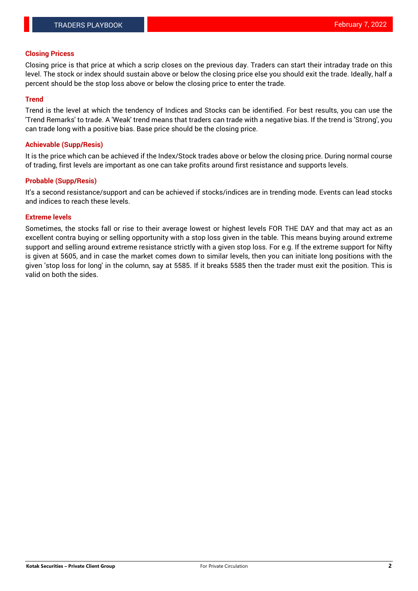## **Closing Pricess**

Closing price is that price at which a scrip closes on the previous day. Traders can start their intraday trade on this level. The stock or index should sustain above or below the closing price else you should exit the trade. Ideally, half a percent should be the stop loss above or below the closing price to enter the trade.

## **Trend**

Trend is the level at which the tendency of Indices and Stocks can be identified. For best results, you can use the 'Trend Remarks' to trade. A 'Weak' trend means that traders can trade with a negative bias. If the trend is 'Strong', you can trade long with a positive bias. Base price should be the closing price.

#### **Achievable (Supp/Resis)**

It is the price which can be achieved if the Index/Stock trades above or below the closing price. During normal course of trading, first levels are important as one can take profits around first resistance and supports levels.

## **Probable (Supp/Resis)**

It's a second resistance/support and can be achieved if stocks/indices are in trending mode. Events can lead stocks and indices to reach these levels.

#### **Extreme levels**

Sometimes, the stocks fall or rise to their average lowest or highest levels FOR THE DAY and that may act as an excellent contra buying or selling opportunity with a stop loss given in the table. This means buying around extreme support and selling around extreme resistance strictly with a given stop loss. For e.g. If the extreme support for Nifty is given at 5605, and in case the market comes down to similar levels, then you can initiate long positions with the given 'stop loss for long' in the column, say at 5585. If it breaks 5585 then the trader must exit the position. This is valid on both the sides.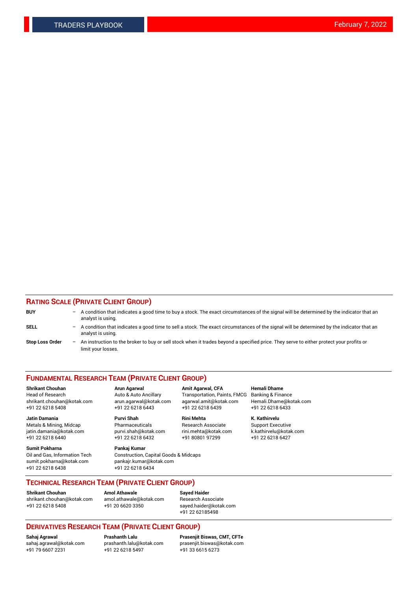## **RATING SCALE (PRIVATE CLIENT GROUP)**

| <b>BUY</b>             | -   | A condition that indicates a good time to buy a stock. The exact circumstances of the signal will be determined by the indicator that an<br>analyst is using.  |
|------------------------|-----|----------------------------------------------------------------------------------------------------------------------------------------------------------------|
| <b>SELL</b>            | -   | A condition that indicates a good time to sell a stock. The exact circumstances of the signal will be determined by the indicator that an<br>analyst is using. |
| <b>Stop Loss Order</b> | $-$ | An instruction to the broker to buy or sell stock when it trades beyond a specified price. They serve to either protect your profits or<br>limit your losses.  |

#### **FUNDAMENTAL RESEARCH TEAM (PRIVATE CLIENT GROUP)**

**Shrikant Chouhan Arun Agarwal Amit Agarwal, CFA Hemali Dhame** Head of Research Auto & Auto Ancillary Transportation, Paints, FMCG Banking & Finance shrikant.chouhan@kotak.com arun.agarwal@kotak.com agarwal.amit@kotak.com Hemali.Dhame@kotak.com

**Jatin Damania Purvi Shah Rini Mehta K. Kathirvelu** Metals & Mining, Midcap **Pharmaceuticals** Research Associate Support Executive jatin.damania@kotak.com [purvi.shah@kotak.com](mailto:purvi.shah@kotak.com) rini.mehta@kotak.com [k.kathirvelu@kotak.com](mailto:k.kathirvelu@kotak.com)  $+91$  22 6218 6440  $+91$  22 6218 6432

**Sumit Pokharna Pankaj Kumar** sumit.pokharna@kotak.com pankajr.kumar@kotak.com +91 22 6218 6438 +91 22 6218 6434

Oil and Gas, Information Tech Construction, Capital Goods & Midcaps

+91 22 6218 5408 +91 22 6218 6443 +91 22 6218 6439 +91 22 6218 6433

**TECHNICAL RESEARCH TEAM (PRIVATE CLIENT GROUP)**

[shrikant.chouhan@kotak.com](mailto:shrikant.chouhan@kotak.com) [amol.athawale@kotak.com](mailto:amol.athawale@kotak.com) Research Associate +91 22 6218 5408 +91 20 6620 3350 [sayed.haider@kotak.com](mailto:sayed.haider@kotak.com)

**Shrikant Chouhan Amol Athawale Sayed Haider**

+91 22 62185498

# **DERIVATIVES RESEARCH TEAM (PRIVATE CLIENT GROUP)**

 $+91$  22 6218 5497

**Sahaj Agrawal Prashanth Lalu Prasenjit Biswas, CMT, CFTe** [sahaj.agrawal@kotak.com](mailto:sahaj.agrawal@kotak.com) [prashanth.lalu@kotak.com](mailto:prashanth.lalu@kotak.com) [prasenjit.biswas@kotak.com](mailto:prasenjit.biswas@kotak.com)